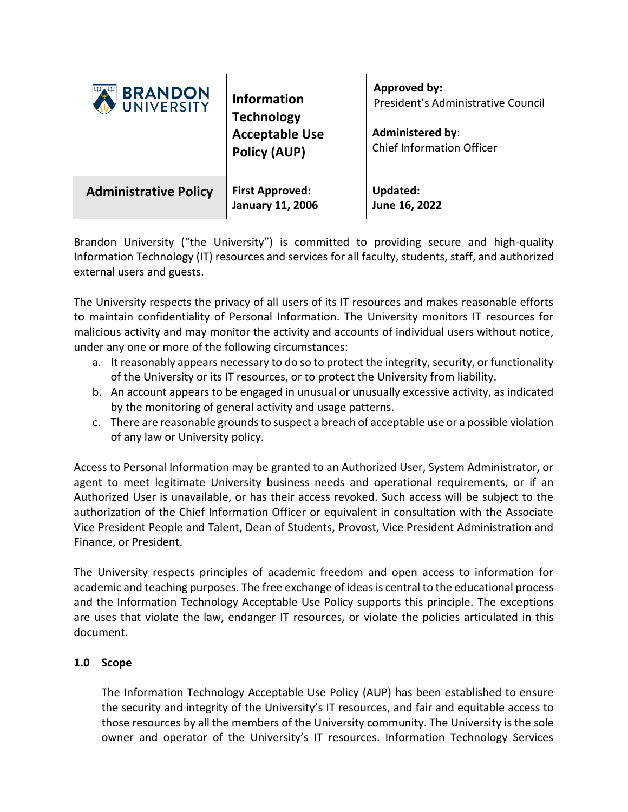| <b>BRANDON</b><br>UNIVERSITY | <b>Information</b><br><b>Technology</b><br><b>Acceptable Use</b><br><b>Policy (AUP)</b> | Approved by:<br>President's Administrative Council<br><b>Administered by:</b><br><b>Chief Information Officer</b> |
|------------------------------|-----------------------------------------------------------------------------------------|-------------------------------------------------------------------------------------------------------------------|
| <b>Administrative Policy</b> | <b>First Approved:</b><br><b>January 11, 2006</b>                                       | Updated:<br>June 16, 2022                                                                                         |

Brandon University ("the University") is committed to providing secure and high-quality Information Technology (IT) resources and services for all faculty, students, staff, and authorized external users and guests.

The University respects the privacy of all users of its IT resources and makes reasonable efforts to maintain confidentiality of Personal Information. The University monitors IT resources for malicious activity and may monitor the activity and accounts of individual users without notice, under any one or more of the following circumstances:

- a. It reasonably appears necessary to do so to protect the integrity, security, or functionality of the University or its IT resources, or to protect the University from liability.
- b. An account appears to be engaged in unusual or unusually excessive activity, as indicated by the monitoring of general activity and usage patterns.
- c. There are reasonable grounds to suspect a breach of acceptable use or a possible violation of any law or University policy.

Access to Personal Information may be granted to an Authorized User, System Administrator, or agent to meet legitimate University business needs and operational requirements, or if an Authorized User is unavailable, or has their access revoked. Such access will be subject to the authorization of the Chief Information Officer or equivalent in consultation with the Associate Vice President People and Talent, Dean of Students, Provost, Vice President Administration and Finance, or President.

The University respects principles of academic freedom and open access to information for academic and teaching purposes. The free exchange of ideas is central to the educational process and the Information Technology Acceptable Use Policy supports this principle. The exceptions are uses that violate the law, endanger IT resources, or violate the policies articulated in this document.

# **1.0 Scope**

The Information Technology Acceptable Use Policy (AUP) has been established to ensure the security and integrity of the University's IT resources, and fair and equitable access to those resources by all the members of the University community. The University is the sole owner and operator of the University's IT resources. Information Technology Services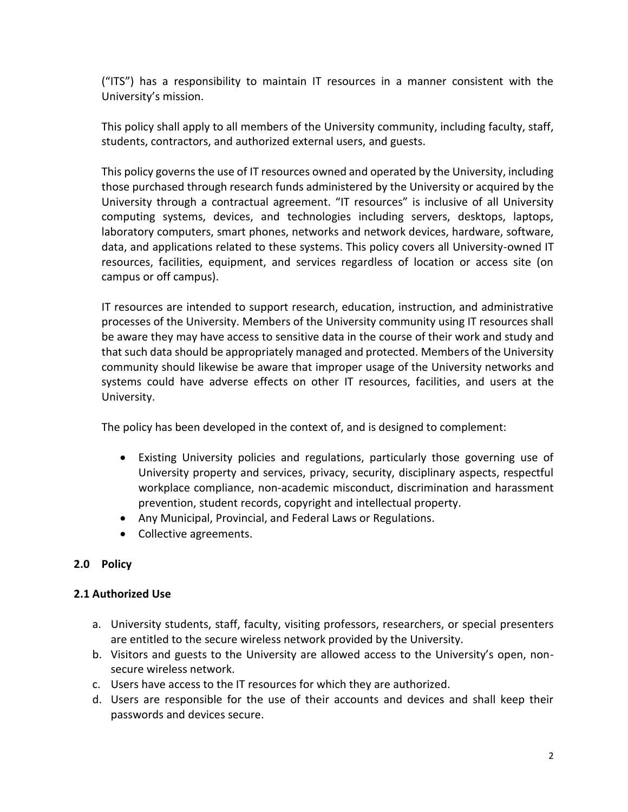("ITS") has a responsibility to maintain IT resources in a manner consistent with the University's mission.

This policy shall apply to all members of the University community, including faculty, staff, students, contractors, and authorized external users, and guests.

This policy governs the use of IT resources owned and operated by the University, including those purchased through research funds administered by the University or acquired by the University through a contractual agreement. "IT resources" is inclusive of all University computing systems, devices, and technologies including servers, desktops, laptops, laboratory computers, smart phones, networks and network devices, hardware, software, data, and applications related to these systems. This policy covers all University-owned IT resources, facilities, equipment, and services regardless of location or access site (on campus or off campus).

IT resources are intended to support research, education, instruction, and administrative processes of the University. Members of the University community using IT resources shall be aware they may have access to sensitive data in the course of their work and study and that such data should be appropriately managed and protected. Members of the University community should likewise be aware that improper usage of the University networks and systems could have adverse effects on other IT resources, facilities, and users at the University.

The policy has been developed in the context of, and is designed to complement:

- Existing University policies and regulations, particularly those governing use of University property and services, privacy, security, disciplinary aspects, respectful workplace compliance, non-academic misconduct, discrimination and harassment prevention, student records, copyright and intellectual property.
- Any Municipal, Provincial, and Federal Laws or Regulations.
- Collective agreements.

# **2.0 Policy**

# **2.1 Authorized Use**

- a. University students, staff, faculty, visiting professors, researchers, or special presenters are entitled to the secure wireless network provided by the University.
- b. Visitors and guests to the University are allowed access to the University's open, nonsecure wireless network.
- c. Users have access to the IT resources for which they are authorized.
- d. Users are responsible for the use of their accounts and devices and shall keep their passwords and devices secure.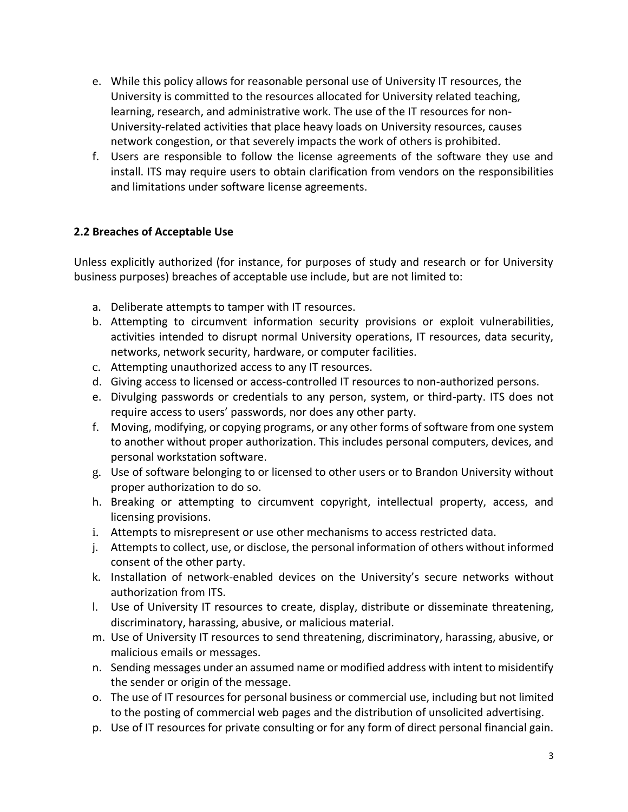- e. While this policy allows for reasonable personal use of University IT resources, the University is committed to the resources allocated for University related teaching, learning, research, and administrative work. The use of the IT resources for non-University-related activities that place heavy loads on University resources, causes network congestion, or that severely impacts the work of others is prohibited.
- f. Users are responsible to follow the license agreements of the software they use and install. ITS may require users to obtain clarification from vendors on the responsibilities and limitations under software license agreements.

# **2.2 Breaches of Acceptable Use**

Unless explicitly authorized (for instance, for purposes of study and research or for University business purposes) breaches of acceptable use include, but are not limited to:

- a. Deliberate attempts to tamper with IT resources.
- b. Attempting to circumvent information security provisions or exploit vulnerabilities, activities intended to disrupt normal University operations, IT resources, data security, networks, network security, hardware, or computer facilities.
- c. Attempting unauthorized access to any IT resources.
- d. Giving access to licensed or access-controlled IT resources to non-authorized persons.
- e. Divulging passwords or credentials to any person, system, or third-party. ITS does not require access to users' passwords, nor does any other party.
- f. Moving, modifying, or copying programs, or any other forms of software from one system to another without proper authorization. This includes personal computers, devices, and personal workstation software.
- g. Use of software belonging to or licensed to other users or to Brandon University without proper authorization to do so.
- h. Breaking or attempting to circumvent copyright, intellectual property, access, and licensing provisions.
- i. Attempts to misrepresent or use other mechanisms to access restricted data.
- j. Attempts to collect, use, or disclose, the personal information of others without informed consent of the other party.
- k. Installation of network-enabled devices on the University's secure networks without authorization from ITS.
- l. Use of University IT resources to create, display, distribute or disseminate threatening, discriminatory, harassing, abusive, or malicious material.
- m. Use of University IT resources to send threatening, discriminatory, harassing, abusive, or malicious emails or messages.
- n. Sending messages under an assumed name or modified address with intent to misidentify the sender or origin of the message.
- o. The use of IT resources for personal business or commercial use, including but not limited to the posting of commercial web pages and the distribution of unsolicited advertising.
- p. Use of IT resources for private consulting or for any form of direct personal financial gain.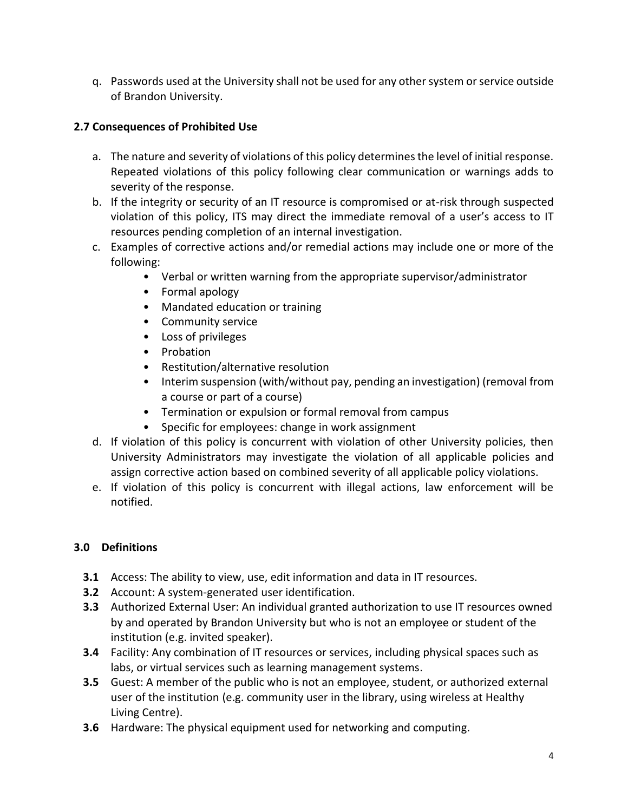q. Passwords used at the University shall not be used for any other system or service outside of Brandon University.

# **2.7 Consequences of Prohibited Use**

- a. The nature and severity of violations of this policy determines the level of initial response. Repeated violations of this policy following clear communication or warnings adds to severity of the response.
- b. If the integrity or security of an IT resource is compromised or at-risk through suspected violation of this policy, ITS may direct the immediate removal of a user's access to IT resources pending completion of an internal investigation.
- c. Examples of corrective actions and/or remedial actions may include one or more of the following:
	- Verbal or written warning from the appropriate supervisor/administrator
	- Formal apology
	- Mandated education or training
	- Community service
	- Loss of privileges
	- Probation
	- Restitution/alternative resolution
	- Interim suspension (with/without pay, pending an investigation) (removal from a course or part of a course)
	- Termination or expulsion or formal removal from campus
	- Specific for employees: change in work assignment
- d. If violation of this policy is concurrent with violation of other University policies, then University Administrators may investigate the violation of all applicable policies and assign corrective action based on combined severity of all applicable policy violations.
- e. If violation of this policy is concurrent with illegal actions, law enforcement will be notified.

# **3.0 Definitions**

- **3.1** Access: The ability to view, use, edit information and data in IT resources.
- **3.2** Account: A system-generated user identification.
- **3.3** Authorized External User: An individual granted authorization to use IT resources owned by and operated by Brandon University but who is not an employee or student of the institution (e.g. invited speaker).
- **3.4** Facility: Any combination of IT resources or services, including physical spaces such as labs, or virtual services such as learning management systems.
- **3.5** Guest: A member of the public who is not an employee, student, or authorized external user of the institution (e.g. community user in the library, using wireless at Healthy Living Centre).
- **3.6** Hardware: The physical equipment used for networking and computing.